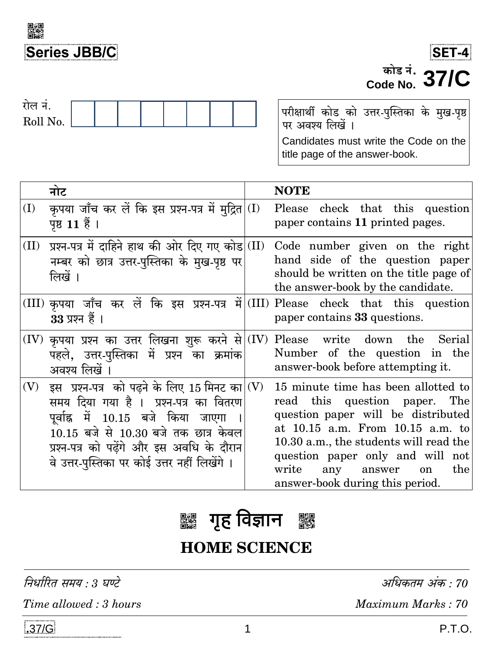





परीक्षार्थी कोड को उत्तर-पुस्तिका के मुख-पृष्ठ<br>पर अवश्य लिखें । Candidates must write the Code on the title page of the answer-book.

|      | नोट                                                                                                                                                                                                                                                                              |      | <b>NOTE</b>                                                                                                                                                                                                                                                                                                       |
|------|----------------------------------------------------------------------------------------------------------------------------------------------------------------------------------------------------------------------------------------------------------------------------------|------|-------------------------------------------------------------------------------------------------------------------------------------------------------------------------------------------------------------------------------------------------------------------------------------------------------------------|
| (I)  | कृपया जाँच कर लें कि इस प्रश्न-पत्र में मुद्रित <br>पृष्ठ 11 हैं।                                                                                                                                                                                                                | (I)  | Please check that this question<br>paper contains 11 printed pages.                                                                                                                                                                                                                                               |
| (II) | प्रश्न-पत्र में दाहिने हाथ की ओर दिए गए कोड<br>नम्बर को छात्र उत्तर-पुस्तिका के मुख-पृष्ठ पर<br>लिखें ।                                                                                                                                                                          | (II) | Code number given on the right<br>hand side of the question paper<br>should be written on the title page of<br>the answer-book by the candidate.                                                                                                                                                                  |
|      | $33 \times 77$ हैं ।                                                                                                                                                                                                                                                             |      | $(III)$ कृपया जाँच कर लें कि इस प्रश्न-पत्र में (III) Please check that this question<br>paper contains 33 questions.                                                                                                                                                                                             |
|      | $(IV)$ कृपया प्रश्न का उत्तर लिखना शुरू करने से $(IV)$<br>पहले, उत्तर-पुस्तिका में प्रश्न का क्रमांक<br>अवश्य लिखें ।                                                                                                                                                            |      | Please write down the Serial<br>Number of the question in the<br>answer-book before attempting it.                                                                                                                                                                                                                |
| (V)  | इस प्रश्न-पत्र को पढ़ने के लिए 15 मिनट का $\vert$ (V)<br>समय दिया गया है ।  प्रश्न-पत्र का वितरण<br>पूर्वाह्न में 10.15 बजे किया जाएगा<br>$10.15$ बजे से $10.30$ बजे तक छात्र केवल<br>प्रश्न-पत्र को पढेंगे और इस अवधि के दौरान<br>वे उत्तर-पुस्तिका पर कोई उत्तर नहीं लिखेंगे । |      | 15 minute time has been allotted to<br>read this question paper. The<br>question paper will be distributed<br>at 10.15 a.m. From 10.15 a.m. to<br>10.30 a.m., the students will read the<br>question paper only and will not<br>write<br>any<br>the<br>answer<br><sub>on</sub><br>answer-book during this period. |

#### **गृह विज्ञान** ■組みの<br>合格

# **HOME SCIENCE**

निर्धारित समय : 3 घण्टे

Time allowed: 3 hours

अधिकतम अंक : 70

Maximum Marks: 70

1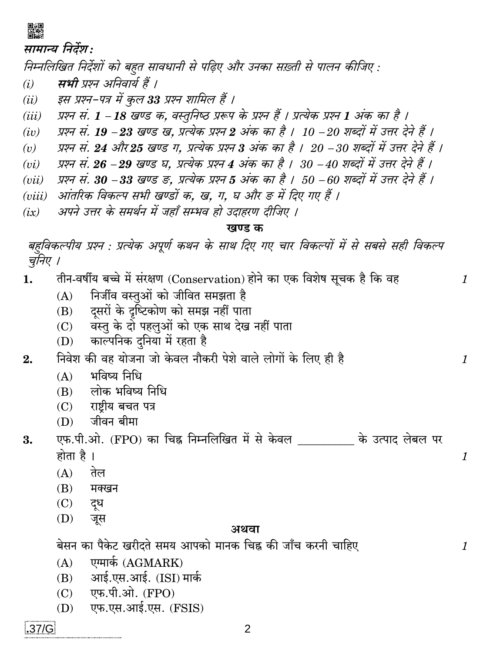

#### सामान्य निर्देश:

निम्नलिखित निर्देशों को बहुत सावधानी से पढ़िए और उनका सख़्ती से पालन कीजिए :

- सभी प्रश्न अनिवार्य हैं ।  $(i)$
- इस प्रश्न-पत्र में कुल 33 प्रश्न शामिल हैं ।  $(ii)$
- प्रश्न सं. 1 18 खण्ड क. वस्तुनिष्ठ प्ररूप के प्रश्न हैं । प्रत्येक प्रश्न 1 अंक का है ।  $(iii)$
- प्रश्न सं. 19 −23 खण्ड ख, प्रत्येक प्रश्न 2 अंक का है । 10 −20 शब्दों में उत्तर देने हैं ।  $(iv)$
- प्रश्न सं. 24 और 25 खण्ड ग, प्रत्येक प्रश्न 3 अंक का है । 20 –30 शब्दों में उत्तर देने हैं ।  $(v)$
- प्रश्न सं. 26 -29 खण्ड घ, प्रत्येक प्रश्न 4 अंक का है । 30 -40 शब्दों में उत्तर देने हैं ।  $(vi)$
- प्रश्न सं. 30 –33 खण्ड ङ, प्रत्येक प्रश्न 5 अंक का है । 50 –60 शब्दों में उत्तर देने हैं ।  $(vii)$
- (viii) आंतरिक विकल्प सभी खण्डों क. ख. ग. घ और ङ में दिए गए हैं ।
- अपने उत्तर के समर्थन में जहाँ सम्भव हो उदाहरण दीजिए ।  $(ix)$

#### खण्ड क

 $\mathbf{1}$ 

 $\mathcal{I}$ 

 $\mathcal{I}_{\mathcal{L}}$ 

 $\mathcal{I}_{\mathcal{L}}$ 

बहविकल्पीय प्रश्न : प्रत्येक अपूर्ण कथन के साथ दिए गए चार विकल्पों में से सबसे सही विकल्प चनिए ।

तीन-वर्षीय बच्चे में संरक्षण (Conservation) होने का एक विशेष सूचक है कि वह  $1.$ 

- निर्जीव वस्तुओं को जीवित समझता है  $(A)$
- दसरों के दुष्टिकोण को समझ नहीं पाता  $(B)$
- वस्तु के दो पहलुओं को एक साथ देख नहीं पाता  $(C)$
- काल्पनिक दनिया में रहता है  $(D)$

निवेश की वह योजना जो केवल नौकरी पेशे वाले लोगों के लिए ही है  $2.$ 

- भविष्य निधि  $(A)$
- लोक भविष्य निधि  $(B)$
- $(C)$  राष्टीय बचत पत्र
- जीवन बीमा  $(D)$
- एफ.पी.ओ. (FPO) का चिह्न निम्नलिखित में से केवल के उत्पाद लेबल पर 3. होता है ।
	- $(A)$ तेल
	- (B) मक्खन
	- $(C)$ दूध
	- (D) जूस

#### अथवा

बेसन का पैकेट खरीदते समय आपको मानक चिह्न की जाँच करनी चाहिए

- एग्मार्क (AGMARK)  $(A)$
- (B) आई.एस.आई. (ISI) मार्क
- (C) एफ.पी.ओ. (FPO)
- एफ.एस.आई.एस. (FSIS) (D)

 $.37/G$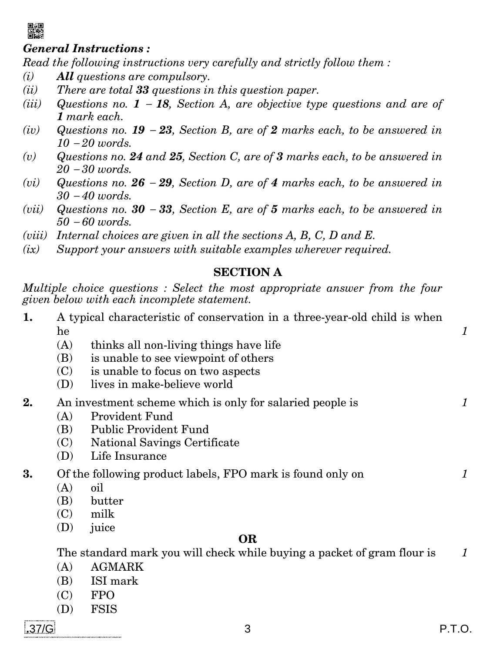

### *General Instructions :*

*Read the following instructions very carefully and strictly follow them :* 

- *(i) All questions are compulsory.*
- *(ii) There are total 33 questions in this question paper.*
- *(iii)* **Questions** no.  $1 18$ , Section A, are objective type questions and are of *1 mark each.*
- *(iv)* Questions no. **19**  $-23$ , Section B, are of 2 marks each, to be answered in *10 20 words.*
- *(v) Questions no. 24 and 25, Section C, are of 3 marks each, to be answered in 20 30 words.*
- (*vi*) *Questions no.* **26 29, Section D, are of 4 marks each, to be answered in** *30 40 words.*
- *(vii)* Questions no.  $30 33$ , Section E, are of 5 marks each, to be answered in *50 60 words.*
- *(viii) Internal choices are given in all the sections A, B, C, D and E.*
- *(ix) Support your answers with suitable examples wherever required.*

### **SECTION A**

*Multiple choice questions : Select the most appropriate answer from the four given below with each incomplete statement.*

- **1.** A typical characteristic of conservation in a three-year-old child is when he *1*
	- (A) thinks all non-living things have life
	- (B) is unable to see viewpoint of others
	- (C) is unable to focus on two aspects
	- (D) lives in make-believe world

### **2.** An investment scheme which is only for salaried people is *1*

- (A) Provident Fund
- (B) Public Provident Fund
- (C) National Savings Certificate
- (D) Life Insurance
- **3.** Of the following product labels, FPO mark is found only on *1*
	- (A) oil
	- (B) butter
	- (C) milk
	- (D) juice

### **OR**

The standard mark you will check while buying a packet of gram flour is *1*

- (A) AGMARK
- (B) ISI mark
- (C) FPO
- (D) FSIS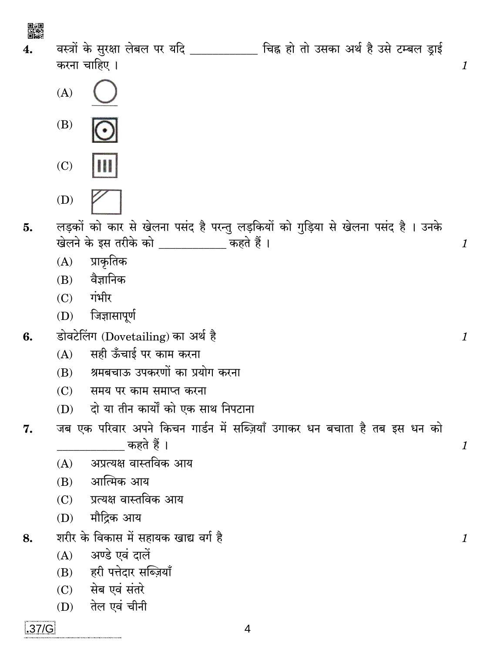器

 $\overline{4}$ .

वस्त्रों के सुरक्षा लेबल पर यदि \_\_\_\_\_\_\_\_\_ चिह्न हो तो उसका अर्थ है उसे टम्बल ड्राई करना चाहिए ।

 $\mathcal{I}$ 

 $\mathcal{I}_{\mathcal{L}}$ 

 $\mathbf{1}$ 

 $\mathcal{I}_{\mathcal{L}}$ 

 $\mathcal{I}_{\mathcal{L}}$ 

- $(A)$
- $(B)$
- $(C)$

 $(D)$ 

लड़कों को कार से खेलना पसंद है परन्तु लड़कियों को गुड़िया से खेलना पसंद है। उनके 5. खेलने के इस तरीके को \_\_\_\_\_\_\_\_\_\_ कहते हैं।

- प्राकृतिक  $(A)$
- वैज्ञानिक  $(B)$
- $(C)$  गंभीर
- $(D)$  जिज्ञासापूर्ण
- डोवटेलिंग (Dovetailing) का अर्थ है 6.
	- सही ऊँचाई पर काम करना  $(A)$
	- श्रमबचाऊ उपकरणों का प्रयोग करना  $(B)$
	- समय पर काम समाप्त करना  $(C)$
	- दो या तीन कार्यों को एक साथ निपटाना  $(D)$
- जब एक परिवार अपने किचन गार्डन में सब्ज़ियाँ उगाकर धन बचाता है तब इस धन को 7. कहते हैं ।
	- अप्रत्यक्ष वास्तविक आय  $(A)$
	- आत्मिक आय  $(B)$
	- $(C)$ प्रत्यक्ष वास्तविक आय
	- मौद्रिक आय  $(D)$
- शरीर के विकास में सहायक खाद्य वर्ग है 8.
	- अण्डे एवं दालें  $(A)$
	- (B) हरी पत्तेदार सब्ज़ियाँ
	- $(C)$  सेब एवं संतरे
	- तेल एवं चीनी  $(D)$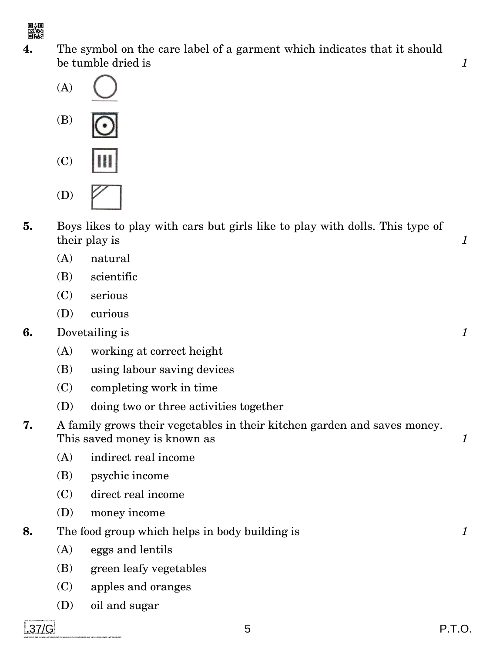

**4.** The symbol on the care label of a garment which indicates that it should be tumble dried is **1** 





- (C) (D)
- **5.** Boys likes to play with cars but girls like to play with dolls. This type of their play is **1** 
	- (A) natural
	- (B) scientific
	- (C) serious
	- (D) curious
- **6.** Dovetailing is *1*
	- (A) working at correct height
	- (B) using labour saving devices
	- (C) completing work in time
	- (D) doing two or three activities together
- **7.** A family grows their vegetables in their kitchen garden and saves money. This saved money is known as **1** 
	- (A) indirect real income
	- (B) psychic income
	- (C) direct real income
	- (D) money income
- **8.** The food group which helps in body building is *1*
	- (A) eggs and lentils
	- (B) green leafy vegetables
	- (C) apples and oranges
	- (D) oil and sugar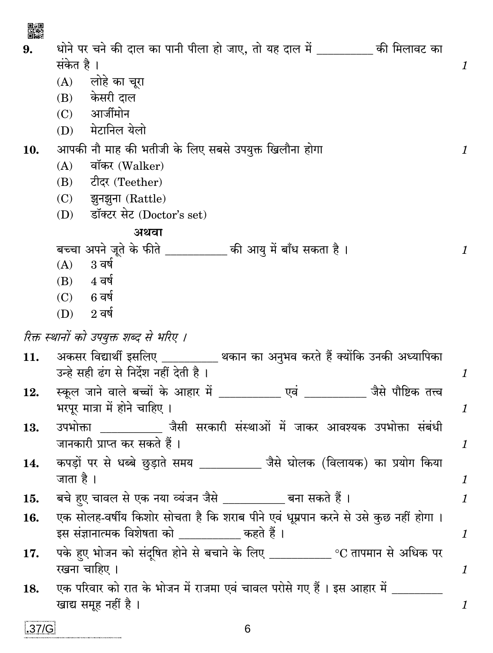| ▓     |                                                                                     |                |
|-------|-------------------------------------------------------------------------------------|----------------|
| 9.    | धोने पर चने की दाल का पानी पीला हो जाए, तो यह दाल में _________ की मिलावट का        |                |
|       | संकेत है ।                                                                          | $\mathcal{I}$  |
|       | (A) लोहे का चूरा                                                                    |                |
|       | (B) केसरी दाल                                                                       |                |
|       | (C) आर्जीमोन                                                                        |                |
|       | (D) मेटानिल येलो                                                                    |                |
| 10.   | आपकी नौ माह की भतीजी के लिए सबसे उपयुक्त खिलौना होगा                                | $\mathcal{I}$  |
|       | वॉकर (Walker)<br>(A)                                                                |                |
|       | टीदर (Teether)<br>(B)                                                               |                |
|       | (C) झुनझुना (Rattle)                                                                |                |
|       | (D) डॉक्टर सेट (Doctor's set)                                                       |                |
|       | अथवा                                                                                |                |
|       | बच्चा अपने जूते के फीते __________ की आयु में बाँध सकता है ।                        | $\mathbf{1}$   |
|       | $3\overline{q}$ ष<br>(A)                                                            |                |
|       | $(B)$ 4 वर्ष                                                                        |                |
|       | $(C)$ 6 वर्ष                                                                        |                |
|       | $(D)$ 2 वर्ष                                                                        |                |
|       | रिक्त स्थानों को उपयुक्त शब्द से भरिए ।                                             |                |
| 11.   | अकसर विद्यार्थी इसलिए _________ थकान का अनुभव करते हैं क्योंकि उनकी अध्यापिका       |                |
|       | उन्हे सही ढंग से निर्देश नहीं देती है ।                                             | $\mathbf{1}$   |
| 12.   | स्कूल जाने वाले बच्चों के आहार में ____________ एवं ___________ जैसे पौष्टिक तत्त्व |                |
|       | भरपूर मात्रा में होने चाहिए ।                                                       | $\mathbf{1}$   |
| 13.   | उपभोक्ता ___________ जैसी सरकारी संस्थाओं में जाकर आवश्यक उपभोक्ता संबंधी           |                |
|       | जानकारी प्राप्त कर सकते हैं ।                                                       | $\mathcal{I}$  |
| 14.   | कपड़ों पर से धब्बे छुड़ाते समय _________ जैसे घोलक (विलायक) का प्रयोग किया          |                |
|       | जाता है ।                                                                           | $\mathcal{I}$  |
| 15.   | बचे हुए चावल से एक नया व्यंजन जैसे __________ बना सकते हैं ।                        | $\mathbf{1}$   |
| 16.   | एक सोलह-वर्षीय किशोर सोचता है कि शराब पीने एवं धूम्रपान करने से उसे कुछ नहीं होगा । |                |
|       | इस संज्ञानात्मक विशेषता को __________ कहते हैं ।                                    | $\mathcal{I}$  |
| 17.   | पके हुए भोजन को संदूषित होने से बचाने के लिए _____________ °C तापमान से अधिक पर     |                |
|       | रखना चाहिए ।                                                                        | $\mathcal{I}$  |
| 18.   | एक परिवार को रात के भोजन में राजमा एवं चावल परोसे गए हैं । इस आहार में _________    |                |
|       | खाद्य समूह नहीं है ।                                                                | $\mathfrak{1}$ |
| .37/G | 6                                                                                   |                |
|       |                                                                                     |                |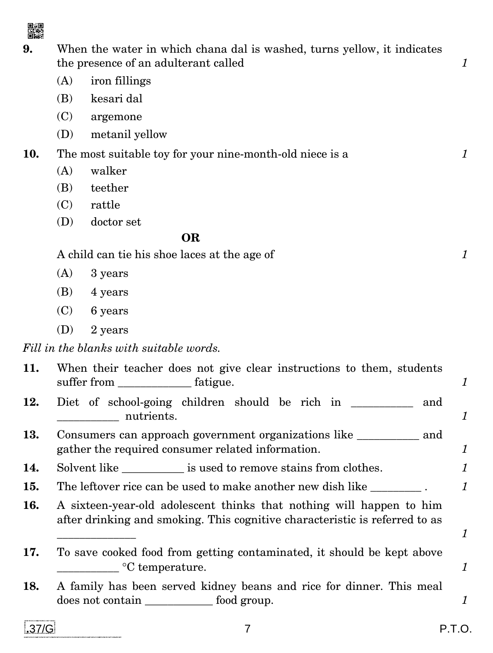

**9.** When the water in which chana dal is washed, turns yellow, it indicates the presence of an adulterant called *1* 

- (A) iron fillings
- (B) kesari dal
- (C) argemone
- (D) metanil yellow
- **10.** The most suitable toy for your nine-month-old niece is a *1*
	- (A) walker
	- (B) teether
	- (C) rattle
	- (D) doctor set

#### **OR**

A child can tie his shoe laces at the age of *1*

- (A) 3 years
- $(B)$  4 years
- (C) 6 years
- (D) 2 years

*Fill in the blanks with suitable words.* 

| 11. | When their teacher does not give clear instructions to them, students                                                                               | 1 |
|-----|-----------------------------------------------------------------------------------------------------------------------------------------------------|---|
| 12. | Diet of school-going children should be rich in<br>and<br>nutrients.                                                                                | 1 |
| 13. | Consumers can approach government organizations like ____________ and<br>gather the required consumer related information.                          | 1 |
| 14. | Solvent like ___________ is used to remove stains from clothes.                                                                                     |   |
| 15. | The leftover rice can be used to make another new dish like _________.                                                                              | 1 |
| 16. | A sixteen-year-old adolescent thinks that nothing will happen to him<br>after drinking and smoking. This cognitive characteristic is referred to as |   |
| 17. | To save cooked food from getting contaminated, it should be kept above<br>$\degree$ C temperature.                                                  |   |
| 18. | A family has been served kidney beans and rice for dinner. This meal<br>does not contain _____________ food group.                                  |   |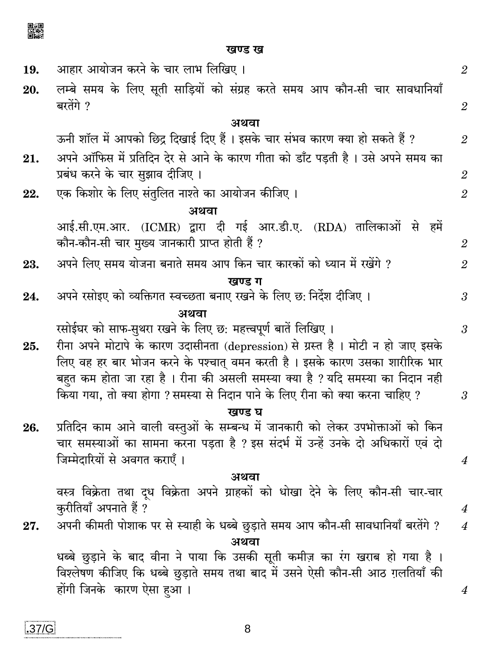▓

खण्ड ख

| 19. | आहार आयोजन करने के चार लाभ लिखिए ।                                                                                  | $\overline{2}$   |  |  |  |
|-----|---------------------------------------------------------------------------------------------------------------------|------------------|--|--|--|
| 20. | लम्बे समय के लिए सूती साड़ियों को संग्रह करते समय आप कौन-सी चार सावधानियाँ<br>बरतेंगे ?                             | $\overline{2}$   |  |  |  |
|     | अथवा                                                                                                                |                  |  |  |  |
|     | ऊनी शॉल में आपको छिद्र दिखाई दिए हैं । इसके चार संभव कारण क्या हो सकते हैं ?                                        | $\overline{2}$   |  |  |  |
| 21. | अपने ऑफिस में प्रतिदिन देर से आने के कारण गीता को डाँट पड़ती है । उसे अपने समय का                                   |                  |  |  |  |
|     | प्रबंध करने के चार सुझाव दीजिए ।                                                                                    | $\overline{2}$   |  |  |  |
| 22. | एक किशोर के लिए संतुलित नाश्ते का आयोजन कीजिए ।                                                                     | $\overline{2}$   |  |  |  |
|     | अथवा                                                                                                                |                  |  |  |  |
|     | आई.सी.एम.आर. (ICMR) द्वारा दी गई आर.डी.ए. (RDA) तालिकाओं से हमें<br>कौन-कौन-सी चार मुख्य जानकारी प्राप्त होती हैं ? | $\mathfrak{2}$   |  |  |  |
| 23. | अपने लिए समय योजना बनाते समय आप किन चार कारकों को ध्यान में रखेंगे ?                                                | $\overline{2}$   |  |  |  |
|     | खण्ड ग                                                                                                              |                  |  |  |  |
| 24. | अपने रसोइए को व्यक्तिगत स्वच्छता बनाए रखने के लिए छ: निर्देश दीजिए ।                                                | $\mathfrak{z}$   |  |  |  |
|     | अथवा                                                                                                                |                  |  |  |  |
|     | रसोईघर को साफ-सुथरा रखने के लिए छ: महत्त्वपूर्ण बातें लिखिए ।                                                       | $\mathfrak{Z}$   |  |  |  |
| 25. | रीना अपने मोटापे के कारण उदासीनता (depression) से ग्रस्त है। मोटी न हो जाए इसके                                     |                  |  |  |  |
|     | लिए वह हर बार भोजन करने के पश्चात् वमन करती है । इसके कारण उसका शारीरिक भार                                         |                  |  |  |  |
|     | बहुत कम होता जा रहा है। रीना की असली समस्या क्या है ? यदि समस्या का निदान नही                                       |                  |  |  |  |
|     | किया गया, तो क्या होगा ? समस्या से निदान पाने के लिए रीना को क्या करना चाहिए ?                                      | $\mathfrak{Z}$   |  |  |  |
|     | खण्ड घ                                                                                                              |                  |  |  |  |
| 26. | प्रतिदिन काम आने वाली वस्तुओं के सम्बन्ध में जानकारी को लेकर उपभोक्ताओं को किन                                      |                  |  |  |  |
|     | चार समस्याओं का सामना करना पड़ता है ? इस संदर्भ में उन्हें उनके दो अधिकारों एवं दो                                  |                  |  |  |  |
|     | जिम्मेदारियों से अवगत कराएँ ।                                                                                       | $\boldsymbol{4}$ |  |  |  |
|     | अथवा                                                                                                                |                  |  |  |  |
|     | वस्त्र विक्रेता तथा दूध विक्रेता अपने ग्राहकों को धोखा देने के लिए कौन-सी चार-चार<br>कुरीतियाँ अपनाते हैं ?         | $\boldsymbol{4}$ |  |  |  |
| 27. | अपनी कीमती पोशाक पर से स्याही के धब्बे छुड़ाते समय आप कौन-सी सावधानियाँ बरतेंगे ?                                   | $\boldsymbol{4}$ |  |  |  |
|     | अथवा                                                                                                                |                  |  |  |  |
|     | धब्बे छुड़ाने के बाद वीना ने पाया कि उसकी सूती कमीज़ का रंग खराब हो गया है ।                                        |                  |  |  |  |
|     | विश्लेषण कीजिए कि धब्बे छुड़ाते समय तथा बाद में उसने ऐसी कौन-सी आठ ग़लतियाँ की                                      |                  |  |  |  |
|     | होंगी जिनके  कारण ऐसा हआ ।                                                                                          | 4                |  |  |  |
|     |                                                                                                                     |                  |  |  |  |

 $\bf 8$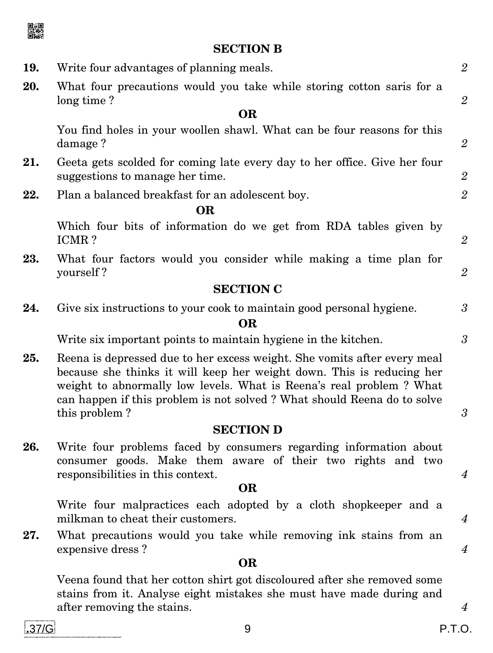

## **SECTION B**

| 19. | Write four advantages of planning meals.                                                                                                                                                                                                                                                                             | $\overline{2}$       |  |
|-----|----------------------------------------------------------------------------------------------------------------------------------------------------------------------------------------------------------------------------------------------------------------------------------------------------------------------|----------------------|--|
| 20. | What four precautions would you take while storing cotton saris for a<br>long time?                                                                                                                                                                                                                                  | $\overline{2}$       |  |
|     | <b>OR</b>                                                                                                                                                                                                                                                                                                            |                      |  |
|     | You find holes in your woollen shawl. What can be four reasons for this<br>damage?                                                                                                                                                                                                                                   | $\mathfrak{2}$       |  |
| 21. | Geeta gets scolded for coming late every day to her office. Give her four<br>suggestions to manage her time.                                                                                                                                                                                                         | $\overline{2}$       |  |
| 22. | Plan a balanced breakfast for an adolescent boy.                                                                                                                                                                                                                                                                     | $\overline{2}$       |  |
|     | <b>OR</b>                                                                                                                                                                                                                                                                                                            |                      |  |
|     | Which four bits of information do we get from RDA tables given by<br>ICMR?                                                                                                                                                                                                                                           | $\overline{2}$       |  |
| 23. | What four factors would you consider while making a time plan for<br>yourself?                                                                                                                                                                                                                                       | $\overline{2}$       |  |
|     | <b>SECTION C</b>                                                                                                                                                                                                                                                                                                     |                      |  |
| 24. | Give six instructions to your cook to maintain good personal hygiene.<br><b>OR</b>                                                                                                                                                                                                                                   | $\boldsymbol{\beta}$ |  |
|     | Write six important points to maintain hygiene in the kitchen.                                                                                                                                                                                                                                                       | 3                    |  |
| 25. | Reena is depressed due to her excess weight. She vomits after every meal<br>because she thinks it will keep her weight down. This is reducing her<br>weight to abnormally low levels. What is Reena's real problem? What<br>can happen if this problem is not solved? What should Reena do to solve<br>this problem? |                      |  |
|     | <b>SECTION D</b>                                                                                                                                                                                                                                                                                                     |                      |  |
| 26. | Write four problems faced by consumers regarding information about<br>consumer goods. Make them aware of their two rights and two                                                                                                                                                                                    |                      |  |
|     | responsibilities in this context.<br><b>OR</b>                                                                                                                                                                                                                                                                       | $\boldsymbol{4}$     |  |
|     | Write four malpractices each adopted by a cloth shopkeeper and a                                                                                                                                                                                                                                                     |                      |  |
|     | milkman to cheat their customers.                                                                                                                                                                                                                                                                                    | $\boldsymbol{4}$     |  |
| 27. | What precautions would you take while removing ink stains from an<br>expensive dress?                                                                                                                                                                                                                                | $\overline{4}$       |  |
|     | <b>OR</b>                                                                                                                                                                                                                                                                                                            |                      |  |
|     | Veena found that her cotton shirt got discoloured after she removed some<br>stains from it. Analyse eight mistakes she must have made during and<br>after removing the stains.                                                                                                                                       | $\boldsymbol{4}$     |  |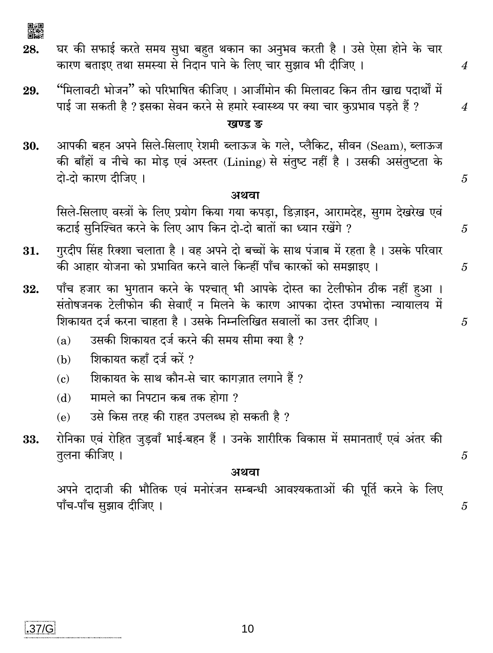▓

28.

 $.37/G$ 

घर की सफाई करते समय सुधा बहत थकान का अनुभव करती है। उसे ऐसा होने के चार कारण बताइए तथा समस्या से निदान पाने के लिए चार सझाव भी दीजिए।

"मिलावटी भोजन" को परिभाषित कीजिए । आर्जीमोन की मिलावट किन तीन खाद्य पदार्थों में 29. पाई जा सकती है ? इसका सेवन करने से हमारे स्वास्थ्य पर क्या चार कृप्रभाव पडते हैं ?

#### ਸ਼ਬਾਰ ਦ

आपकी बहन अपने सिले-सिलाए रेशमी ब्लाऊज के गले, प्लैकिट, सीवन (Seam), ब्लाऊज 30. की बाँहों व नीचे का मोड एवं अस्तर (Lining) से संतुष्ट नहीं है। उसकी असंतुष्टता के दो-दो कारण दीजिए ।

#### अथवा

सिले-सिलाए वस्त्रों के लिए प्रयोग किया गया कपड़ा, डिज़ाइन, आरामदेह, सुगम देखरेख एवं कटाई सुनिश्चित करने के लिए आप किन दो-दो बातों का ध्यान रखेंगे ?

- गुरदीप सिंह रिक्शा चलाता है । वह अपने दो बच्चों के साथ पंजाब में रहता है । उसके परिवार 31. की आहार योजना को प्रभावित करने वाले किन्हीं पाँच कारकों को समझाइए ।
- पाँच हजार का भुगतान करने के पश्चात् भी आपके दोस्त का टेलीफोन ठीक नहीं हआ । 32. संतोषजनक टेलीफोन की सेवाएँ न मिलने के कारण आपका दोस्त उपभोक्ता न्यायालय में शिकायत दर्ज करना चाहता है। उसके निम्नलिखित सवालों का उत्तर दीजिए।
	- उसकी शिकायत दर्ज करने की समय सीमा क्या है ?  $(a)$
	- शिकायत कहाँ दर्ज करें ?  $(h)$
	- शिकायत के साथ कौन-से चार कागज़ात लगाने हैं ?  $\epsilon$
	- मामले का निपटान कब तक होगा ?  $(d)$
	- उसे किस तरह की राहत उपलब्ध हो सकती है ?  $(e)$
- रोनिका एवं रोहित जुड़वाँ भाई-बहन हैं । उनके शारीरिक विकास में समानताएँ एवं अंतर की 33. तुलना कीजिए ।

#### अथवा

अपने दादाजी की भौतिक एवं मनोरंजन सम्बन्धी आवश्यकताओं की पूर्ति करने के लिए पाँच-पाँच सुझाव दीजिए ।

10

5

 $\overline{5}$ 

 $\boldsymbol{\varLambda}$ 

 $\overline{4}$ 

5

5

 $\overline{5}$ 

 $\overline{5}$